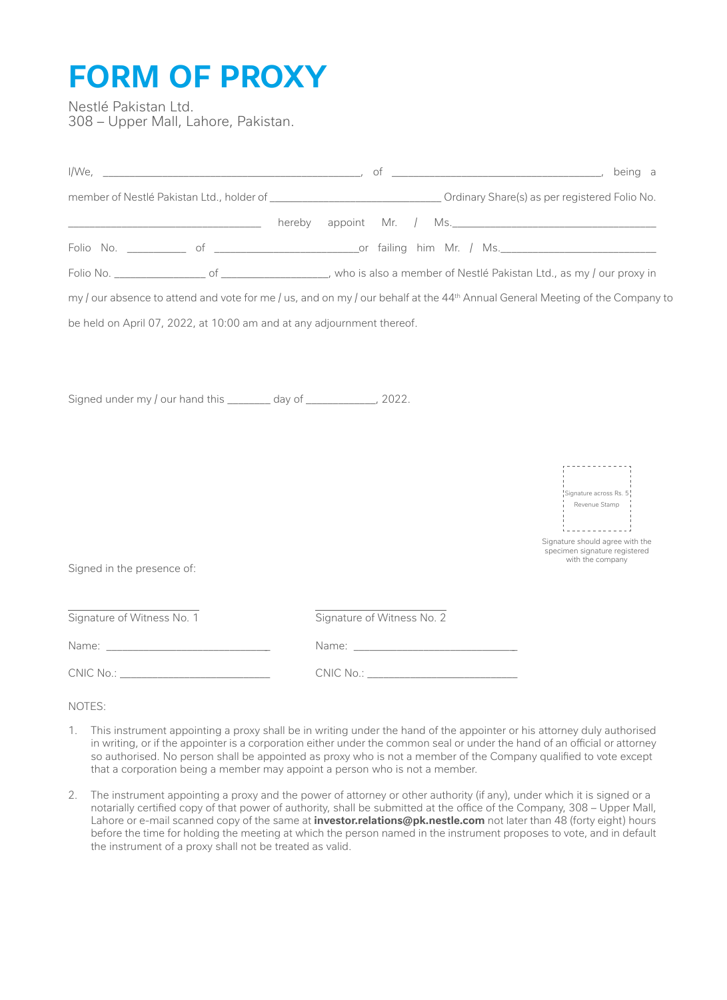## **FORM OF PROXY**

Nestlé Pakistan Ltd. 308 – Upper Mall, Lahore, Pakistan.

|                            |                                                                        |                            | member of Nestlé Pakistan Ltd., holder of _________________________________Ordinary Share(s) as per registered Folio No.                 |
|----------------------------|------------------------------------------------------------------------|----------------------------|------------------------------------------------------------------------------------------------------------------------------------------|
|                            |                                                                        |                            |                                                                                                                                          |
|                            |                                                                        |                            |                                                                                                                                          |
|                            |                                                                        |                            |                                                                                                                                          |
|                            |                                                                        |                            | my / our absence to attend and vote for me / us, and on my / our behalf at the 44 <sup>th</sup> Annual General Meeting of the Company to |
|                            | be held on April 07, 2022, at 10:00 am and at any adjournment thereof. |                            |                                                                                                                                          |
|                            |                                                                        |                            |                                                                                                                                          |
|                            |                                                                        |                            |                                                                                                                                          |
|                            | Signed under my / our hand this ________ day of ______________, 2022.  |                            |                                                                                                                                          |
|                            |                                                                        |                            |                                                                                                                                          |
|                            |                                                                        |                            |                                                                                                                                          |
|                            |                                                                        |                            |                                                                                                                                          |
|                            |                                                                        |                            | Signature across Rs. 5<br>Revenue Stamp                                                                                                  |
|                            |                                                                        |                            |                                                                                                                                          |
|                            |                                                                        |                            | Signature should agree with the<br>specimen signature registered<br>with the company                                                     |
| Signed in the presence of: |                                                                        |                            |                                                                                                                                          |
|                            |                                                                        |                            |                                                                                                                                          |
| Signature of Witness No. 1 |                                                                        | Signature of Witness No. 2 |                                                                                                                                          |
|                            |                                                                        |                            |                                                                                                                                          |
|                            |                                                                        |                            |                                                                                                                                          |
| NOTES:                     |                                                                        |                            |                                                                                                                                          |

- 1. This instrument appointing a proxy shall be in writing under the hand of the appointer or his attorney duly authorised in writing, or if the appointer is a corporation either under the common seal or under the hand of an official or attorney so authorised. No person shall be appointed as proxy who is not a member of the Company qualified to vote except that a corporation being a member may appoint a person who is not a member.
- 2. The instrument appointing a proxy and the power of attorney or other authority (if any), under which it is signed or a notarially certified copy of that power of authority, shall be submitted at the office of the Company, 308 – Upper Mall, Lahore or e-mail scanned copy of the same at **investor.relations@pk.nestle.com** not later than 48 (forty eight) hours before the time for holding the meeting at which the person named in the instrument proposes to vote, and in default the instrument of a proxy shall not be treated as valid.